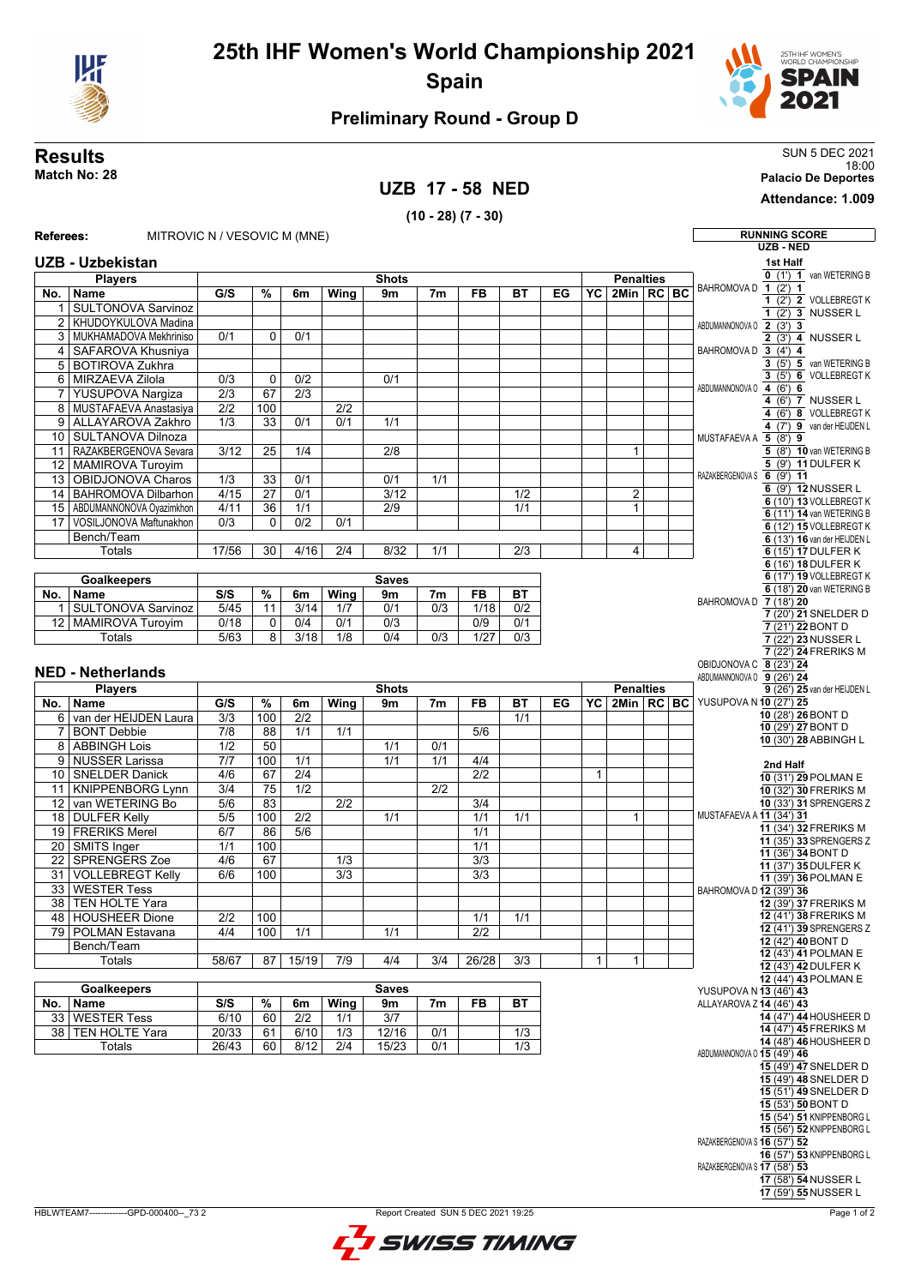

## **Preliminary Round - Group D**

## 18:00 **Match No: 28 Palacio De Deportes**

## **UZB 17 - 58 NED**

**(10 - 28) (7 - 30)**

**Results** SUN 5 DEC 2021

**Attendance: 1.009**

| Referees:             | MITROVIC N / VESOVIC M (MNE)                  |                  |                 |                  |                  |                  |                  |                  |                  |    |              |                  |                |  | <b>RUNNING SCORE</b>                                      |
|-----------------------|-----------------------------------------------|------------------|-----------------|------------------|------------------|------------------|------------------|------------------|------------------|----|--------------|------------------|----------------|--|-----------------------------------------------------------|
|                       |                                               |                  |                 |                  |                  |                  |                  |                  |                  |    |              |                  |                |  | <b>UZB - NED</b>                                          |
|                       | <b>UZB - Uzbekistan</b>                       |                  |                 |                  |                  |                  |                  |                  |                  |    |              |                  |                |  | 1st Half                                                  |
|                       | <b>Players</b>                                |                  |                 |                  |                  | <b>Shots</b>     |                  |                  |                  |    |              | <b>Penalties</b> |                |  | 0 (1') 1 van WETERING B<br>BAHROMOVA D 1 (2') 1           |
|                       | No.   Name                                    | G/S              | %               | 6m               | Wing             | 9 <sub>m</sub>   | 7 <sub>m</sub>   | <b>FB</b>        | ВT               | EG | YC           | $2$ Min $RC$ BC  |                |  | 1 (2') 2 VOLLEBREGT K                                     |
| $\mathbf{1}$          | <b>SULTONOVA Sarvinoz</b>                     |                  |                 |                  |                  |                  |                  |                  |                  |    |              |                  |                |  | $1(2)$ 3 NUSSER L                                         |
| 2                     | KHUDOYKULOVA Madina                           |                  |                 |                  |                  |                  |                  |                  |                  |    |              |                  |                |  | ABDUMANNONOVA 0 2 (3') 3                                  |
| 3                     | MUKHAMADOVA Mekhriniso                        | 0/1              | $\mathbf 0$     | 0/1              |                  |                  |                  |                  |                  |    |              |                  |                |  | $2(3)$ 4 NUSSER L                                         |
| 4                     | SAFAROVA Khusniya                             |                  |                 |                  |                  |                  |                  |                  |                  |    |              |                  |                |  | BAHROMOVA D $\overline{3}(4')$ 4                          |
|                       | 5 BOTIROVA Zukhra                             |                  |                 |                  |                  |                  |                  |                  |                  |    |              |                  |                |  | 3 (5') 5 van WETERING B<br>3 (5') 6 VOLLEBREGT K          |
|                       | 6 MIRZAEVA Zilola                             | $\overline{0/3}$ | $\mathbf 0$     | $\overline{0/2}$ |                  | 0/1              |                  |                  |                  |    |              |                  |                |  | ABDUMANNONOVA 0 4 (6') 6                                  |
| $\overline{7}$        | YUSUPOVA Nargiza                              | $\overline{2/3}$ | $\overline{67}$ | $\overline{2/3}$ |                  |                  |                  |                  |                  |    |              |                  |                |  | 4 (6') 7 NUSSER L                                         |
|                       | 8 MUSTAFAEVA Anastasiya                       | $\overline{2/2}$ | 100             |                  | 2/2              |                  |                  |                  |                  |    |              |                  |                |  | 4 (6') 8 VOLLEBREGT K                                     |
| 9                     | ALLAYAROVA Zakhro                             | 1/3              | 33              | 0/1              | 0/1              | 1/1              |                  |                  |                  |    |              |                  |                |  | 4 (7") 9 van der HEIJDEN L                                |
|                       | 10 SULTANOVA Dilnoza<br>RAZAKBERGENOVA Sevara | $\frac{3}{12}$   | $\overline{25}$ | 1/4              |                  | $\overline{2/8}$ |                  |                  |                  |    |              | $\mathbf{1}$     |                |  | MUSTAFAEVA A 5 (8') 9                                     |
| 11<br>$\overline{12}$ | MAMIROVA Turoyim                              |                  |                 |                  |                  |                  |                  |                  |                  |    |              |                  |                |  | 5 (8') 10 van WETERING B<br>5 (9') 11 DULFER K            |
| $\overline{13}$       | OBIDJONOVA Charos                             | $\overline{1/3}$ | 33              | 0/1              |                  | 0/1              | 1/1              |                  |                  |    |              |                  |                |  | RAZAKBERGENOVA S 6 (9') 11                                |
| 14                    | <b>BAHROMOVA Dilbarhon</b>                    | 4/15             | $\overline{27}$ | 0/1              |                  | 3/12             |                  |                  | 1/2              |    |              | 2                |                |  | 6 (9') 12 NUSSER L                                        |
| 15                    | ABDUMANNONOVA Oyazimkhon                      | 4/11             | 36              | 1/1              |                  | $\overline{2/9}$ |                  |                  | 1/1              |    |              | $\mathbf{1}$     |                |  | 6 (10') 13 VOLLEBREGT K                                   |
| 17                    | VOSILJONOVA Maftunakhon                       | 0/3              | $\Omega$        | 0/2              | 0/1              |                  |                  |                  |                  |    |              |                  |                |  | 6 (11') 14 van WETERING B                                 |
|                       | Bench/Team                                    |                  |                 |                  |                  |                  |                  |                  |                  |    |              |                  |                |  | 6 (12') 15 VOLLEBREGT K<br>6 (13') 16 van der HEIJDEN L   |
|                       | Totals                                        | 17/56            | 30              | 4/16             | $\overline{2/4}$ | 8/32             | 1/1              |                  | $\overline{2/3}$ |    |              | 4                |                |  | 6 (15') 17 DULFER K                                       |
|                       |                                               |                  |                 |                  |                  |                  |                  |                  |                  |    |              |                  |                |  | 6 (16') 18 DULFER K                                       |
|                       | <b>Goalkeepers</b>                            |                  |                 |                  |                  | <b>Saves</b>     |                  |                  |                  |    |              |                  |                |  | 6 (17') 19 VOLLEBREGT K                                   |
| No.                   | Name                                          | S/S              | %               | 6m               | Wing             | 9m               | 7m               | <b>FB</b>        | <b>BT</b>        |    |              |                  |                |  | 6 (18') 20 van WETERING B                                 |
| 1                     | <b>SULTONOVA Sarvinoz</b>                     | 5/45             | 11              | 3/14             | 1/7              | 0/1              | $\overline{0/3}$ | 1/18             | $\overline{0/2}$ |    |              |                  |                |  | BAHROMOVA D 7 (18') 20<br>7 (20') 21 SNELDER D            |
|                       | 12 MAMIROVA Turoyim                           | 0/18             | 0               | 0/4              | 0/1              | $\overline{0/3}$ |                  | $\overline{0/9}$ | 0/1              |    |              |                  |                |  | 7 (21') 22 BONT D                                         |
|                       | Totals                                        | 5/63             | 8               | 3/18             | 1/8              | 0/4              | 0/3              | 1/27             | $\overline{0/3}$ |    |              |                  |                |  | 7 (22') 23 NUSSER L                                       |
|                       |                                               |                  |                 |                  |                  |                  |                  |                  |                  |    |              |                  |                |  | 7 (22') 24 FRERIKS M                                      |
|                       | <b>NED - Netherlands</b>                      |                  |                 |                  |                  |                  |                  |                  |                  |    |              |                  |                |  | OBIDJONOVA C 8 (23') 24                                   |
|                       |                                               |                  |                 |                  |                  | <b>Shots</b>     |                  |                  |                  |    |              | <b>Penalties</b> |                |  | ABDUMANNONOVA 0 9 (26') 24                                |
| No.                   | <b>Players</b><br><b>Name</b>                 | G/S              | $\frac{9}{6}$   | 6m               | Wing             | 9m               | 7 <sub>m</sub>   | <b>FB</b>        | ВT               | EG | YC           |                  | 2Min   RC   BC |  | 9 (26') 25 van der HEIJDEN L<br>YUSUPOVA N 10 (27') 25    |
| 6                     | van der HEIJDEN Laura                         | $\overline{3/3}$ | 100             | $\overline{2/2}$ |                  |                  |                  |                  | 1/1              |    |              |                  |                |  | 10 (28') 26 BONT D                                        |
| $\overline{7}$        | <b>BONT Debbie</b>                            | 7/8              | 88              | 1/1              | 1/1              |                  |                  | 5/6              |                  |    |              |                  |                |  | 10 (29') 27 BONT D                                        |
| $\overline{8}$        | <b>ABBINGH Lois</b>                           | 1/2              | 50              |                  |                  | 1/1              | 0/1              |                  |                  |    |              |                  |                |  | 10 (30') 28 ABBINGH L                                     |
| 9                     | <b>NUSSER Larissa</b>                         | 7/7              | 100             | 1/1              |                  | 1/1              | 1/1              | 4/4              |                  |    |              |                  |                |  |                                                           |
| 10 <sup>°</sup>       | <b>SNELDER Danick</b>                         | 4/6              | 67              | $\overline{2/4}$ |                  |                  |                  | $\overline{2/2}$ |                  |    | $\mathbf{1}$ |                  |                |  | 2nd Half<br>10 (31') 29 POLMAN E                          |
| 11                    | <b>KNIPPENBORG Lynn</b>                       | $\overline{3/4}$ | 75              | 1/2              |                  |                  | 2/2              |                  |                  |    |              |                  |                |  | 10 (32') 30 FRERIKS M                                     |
| 12                    | van WETERING Bo                               | 5/6              | 83              |                  | 2/2              |                  |                  | 3/4              |                  |    |              |                  |                |  | 10 (33') 31 SPRENGERS Z                                   |
| 18                    | <b>DULFER Kelly</b>                           | $\overline{5/5}$ | 100             | $\overline{2/2}$ |                  | 1/1              |                  | $\overline{1/1}$ | 1/1              |    |              | $\mathbf{1}$     |                |  | MUSTAFAEVA A 11 (34') 31                                  |
| 19                    | <b>FRERIKS Merel</b>                          | 6/7              | 86              | 5/6              |                  |                  |                  | 1/1              |                  |    |              |                  |                |  | 11 (34') 32 FRERIKS M                                     |
| 20                    | SMITS Inger                                   | 1/1              | 100             |                  |                  |                  |                  | 1/1              |                  |    |              |                  |                |  | 11 (35') 33 SPRENGERS Z<br>11 (36') 34 BONT D             |
| 22                    | <b>SPRENGERS Zoe</b>                          | 4/6              | 67              |                  | 1/3              |                  |                  | $\overline{3/3}$ |                  |    |              |                  |                |  | 11 (37') 35 DULFER K                                      |
| 31                    | <b>VOLLEBREGT Kelly</b>                       | 6/6              | 100             |                  | 3/3              |                  |                  | 3/3              |                  |    |              |                  |                |  | 11 (39') 36 POLMAN E                                      |
| $\overline{33}$       | <b>WESTER Tess</b>                            |                  |                 |                  |                  |                  |                  |                  |                  |    |              |                  |                |  | BAHROMOVA D 12 (39') 36                                   |
| $\overline{38}$       | <b>TEN HOLTE Yara</b>                         |                  |                 |                  |                  |                  |                  |                  |                  |    |              |                  |                |  | 12 (39') 37 FRERIKS M                                     |
|                       | 48 HOUSHEER Dione                             | 2/2              | 100             |                  |                  |                  |                  | 1/1              | 1/1              |    |              |                  |                |  | 12 (41') 38 FRERIKS M<br>12 (41') 39 SPRENGERS Z          |
|                       | 79 POLMAN Estavana                            | 4/4              | 100             | 1/1              |                  | 1/1              |                  | 2/2              |                  |    |              |                  |                |  | 12 (42') 40 BONT D                                        |
|                       | Bench/Team                                    |                  |                 |                  |                  |                  |                  |                  |                  |    |              |                  |                |  | 12 (43') 41 POLMAN E                                      |
|                       | Totals                                        | 58/67            | 87              | 15/19            | 7/9              | 4/4              | 3/4              | 26/28            | 3/3              |    | $\mathbf{1}$ | $\mathbf{1}$     |                |  | 12 (43') 42 DULFER K                                      |
|                       | <b>Goalkeepers</b>                            |                  |                 |                  |                  | <b>Saves</b>     |                  |                  |                  |    |              |                  |                |  | 12 (44') 43 POLMAN E                                      |
|                       |                                               | S/S              | $\frac{9}{6}$   |                  | Wing             | 9m               | 7m               | FB               | ВT               |    |              |                  |                |  | YUSUPOVA N 13 (46') 43<br>ALLAYAROVA Z 14 (46') 43        |
| No.                   | Name<br>33 WESTER Tess                        | 6/10             | 60              | 6m<br>2/2        | 1/1              | 3/7              |                  |                  |                  |    |              |                  |                |  | 14 (47') 44 HOUSHEER D                                    |
|                       | 38 TEN HOLTE Yara                             | 20/33            | 61              | 6/10             | 1/3              | 12/16            | 0/1              |                  | 1/3              |    |              |                  |                |  | 14 (47') 45 FRERIKS M                                     |
|                       | <b>Totals</b>                                 | 26/43            | 60              | 8/12             | 2/4              | 15/23            | 0/1              |                  | $\overline{1/3}$ |    |              |                  |                |  | 14 (48') 46 HOUSHEER D                                    |
|                       |                                               |                  |                 |                  |                  |                  |                  |                  |                  |    |              |                  |                |  | ABDUMANNONOVA 0 15 (49') 46                               |
|                       |                                               |                  |                 |                  |                  |                  |                  |                  |                  |    |              |                  |                |  | 15 (49') 47 SNELDER D                                     |
|                       |                                               |                  |                 |                  |                  |                  |                  |                  |                  |    |              |                  |                |  | 15 (49') 48 SNELDER D<br>15 (51') 49 SNELDER D            |
|                       |                                               |                  |                 |                  |                  |                  |                  |                  |                  |    |              |                  |                |  | 15 (53') 50 BONT D                                        |
|                       |                                               |                  |                 |                  |                  |                  |                  |                  |                  |    |              |                  |                |  | 15 (54') 51 KNIPPENBORG L                                 |
|                       |                                               |                  |                 |                  |                  |                  |                  |                  |                  |    |              |                  |                |  | 15 (56') 52 KNIPPENBORG L                                 |
|                       |                                               |                  |                 |                  |                  |                  |                  |                  |                  |    |              |                  |                |  | RAZAKBERGENOVA S 16 (57') 52                              |
|                       |                                               |                  |                 |                  |                  |                  |                  |                  |                  |    |              |                  |                |  | 16 (57') 53 KNIPPENBORG L<br>RAZAKBERGENOVA S 17 (58') 53 |
|                       |                                               |                  |                 |                  |                  |                  |                  |                  |                  |    |              |                  |                |  | 17 (58') 54 NUSSER L                                      |
|                       |                                               |                  |                 |                  |                  |                  |                  |                  |                  |    |              |                  |                |  | 17 (59') 55 NUSSER L                                      |